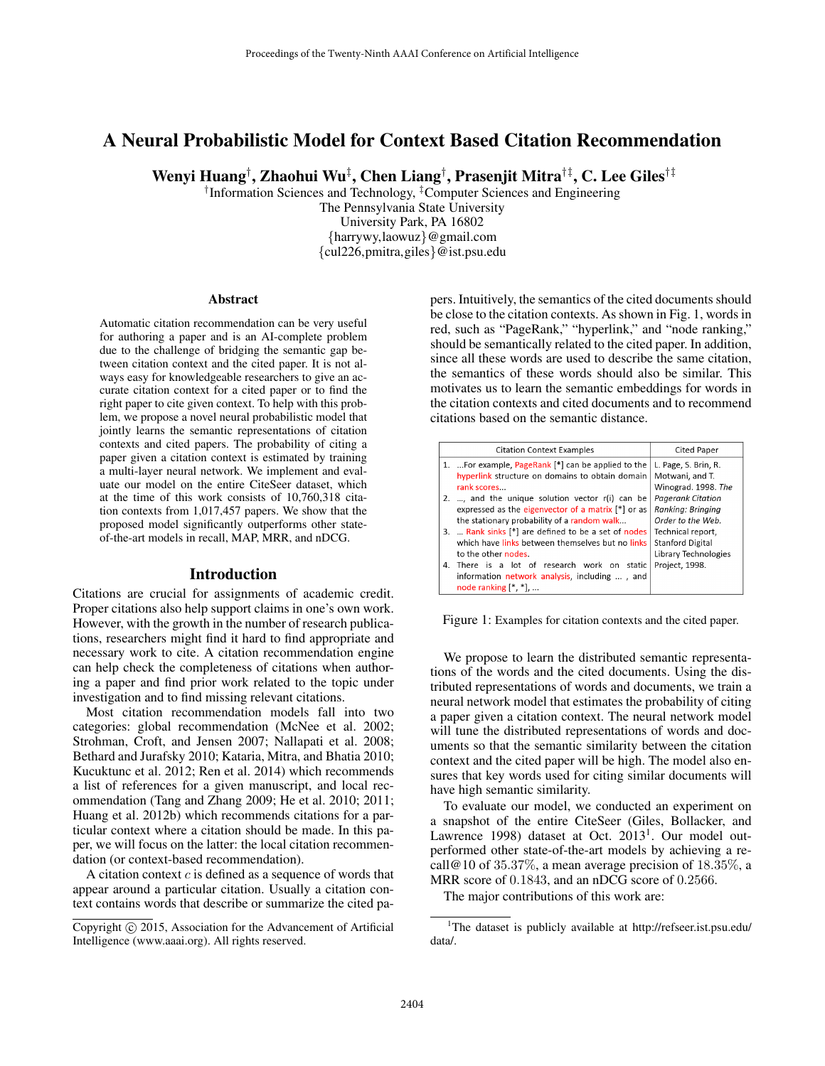# A Neural Probabilistic Model for Context Based Citation Recommendation

Wenyi Huang† , Zhaohui Wu‡ , Chen Liang† , Prasenjit Mitra†‡, C. Lee Giles†‡

† Information Sciences and Technology, ‡Computer Sciences and Engineering

The Pennsylvania State University University Park, PA 16802 {harrywy,laowuz}@gmail.com {cul226,pmitra,giles}@ist.psu.edu

#### Abstract

Automatic citation recommendation can be very useful for authoring a paper and is an AI-complete problem due to the challenge of bridging the semantic gap between citation context and the cited paper. It is not always easy for knowledgeable researchers to give an accurate citation context for a cited paper or to find the right paper to cite given context. To help with this problem, we propose a novel neural probabilistic model that jointly learns the semantic representations of citation contexts and cited papers. The probability of citing a paper given a citation context is estimated by training a multi-layer neural network. We implement and evaluate our model on the entire CiteSeer dataset, which at the time of this work consists of 10,760,318 citation contexts from 1,017,457 papers. We show that the proposed model significantly outperforms other stateof-the-art models in recall, MAP, MRR, and nDCG.

### Introduction

Citations are crucial for assignments of academic credit. Proper citations also help support claims in one's own work. However, with the growth in the number of research publications, researchers might find it hard to find appropriate and necessary work to cite. A citation recommendation engine can help check the completeness of citations when authoring a paper and find prior work related to the topic under investigation and to find missing relevant citations.

Most citation recommendation models fall into two categories: global recommendation (McNee et al. 2002; Strohman, Croft, and Jensen 2007; Nallapati et al. 2008; Bethard and Jurafsky 2010; Kataria, Mitra, and Bhatia 2010; Kucuktunc et al. 2012; Ren et al. 2014) which recommends a list of references for a given manuscript, and local recommendation (Tang and Zhang 2009; He et al. 2010; 2011; Huang et al. 2012b) which recommends citations for a particular context where a citation should be made. In this paper, we will focus on the latter: the local citation recommendation (or context-based recommendation).

A citation context  $c$  is defined as a sequence of words that appear around a particular citation. Usually a citation context contains words that describe or summarize the cited papers. Intuitively, the semantics of the cited documents should be close to the citation contexts. As shown in Fig. 1, words in red, such as "PageRank," "hyperlink," and "node ranking," should be semantically related to the cited paper. In addition, since all these words are used to describe the same citation, the semantics of these words should also be similar. This motivates us to learn the semantic embeddings for words in the citation contexts and cited documents and to recommend citations based on the semantic distance.

|    | <b>Citation Context Examples</b>                     | <b>Cited Paper</b>       |
|----|------------------------------------------------------|--------------------------|
|    | 1. For example, PageRank [*] can be applied to the   | L. Page, S. Brin, R.     |
|    | hyperlink structure on domains to obtain domain      | Motwani, and T.          |
|    | rank scores                                          | Winograd. 1998. The      |
| 2. | , and the unique solution vector r(i) can be         | <b>Pagerank Citation</b> |
|    | expressed as the eigenvector of a matrix $[*]$ or as | Ranking: Bringing        |
|    | the stationary probability of a random walk          | Order to the Web.        |
|    | 3.  Rank sinks [*] are defined to be a set of nodes  | Technical report.        |
|    | which have links between themselves but no links     | <b>Stanford Digital</b>  |
|    | to the other nodes.                                  | Library Technologies     |
|    | 4. There is a lot of research work on static         | Project, 1998.           |
|    | information network analysis, including , and        |                          |
|    | node ranking $[*, *]$                                |                          |

Figure 1: Examples for citation contexts and the cited paper.

We propose to learn the distributed semantic representations of the words and the cited documents. Using the distributed representations of words and documents, we train a neural network model that estimates the probability of citing a paper given a citation context. The neural network model will tune the distributed representations of words and documents so that the semantic similarity between the citation context and the cited paper will be high. The model also ensures that key words used for citing similar documents will have high semantic similarity.

To evaluate our model, we conducted an experiment on a snapshot of the entire CiteSeer (Giles, Bollacker, and Lawrence 1998) dataset at Oct. 2013<sup>1</sup>. Our model outperformed other state-of-the-art models by achieving a recall@10 of  $35.37\%$ , a mean average precision of  $18.35\%$ , a MRR score of 0.1843, and an nDCG score of 0.2566.

The major contributions of this work are:

Copyright  $\odot$  2015, Association for the Advancement of Artificial Intelligence (www.aaai.org). All rights reserved.

<sup>1</sup>The dataset is publicly available at http://refseer.ist.psu.edu/ data/.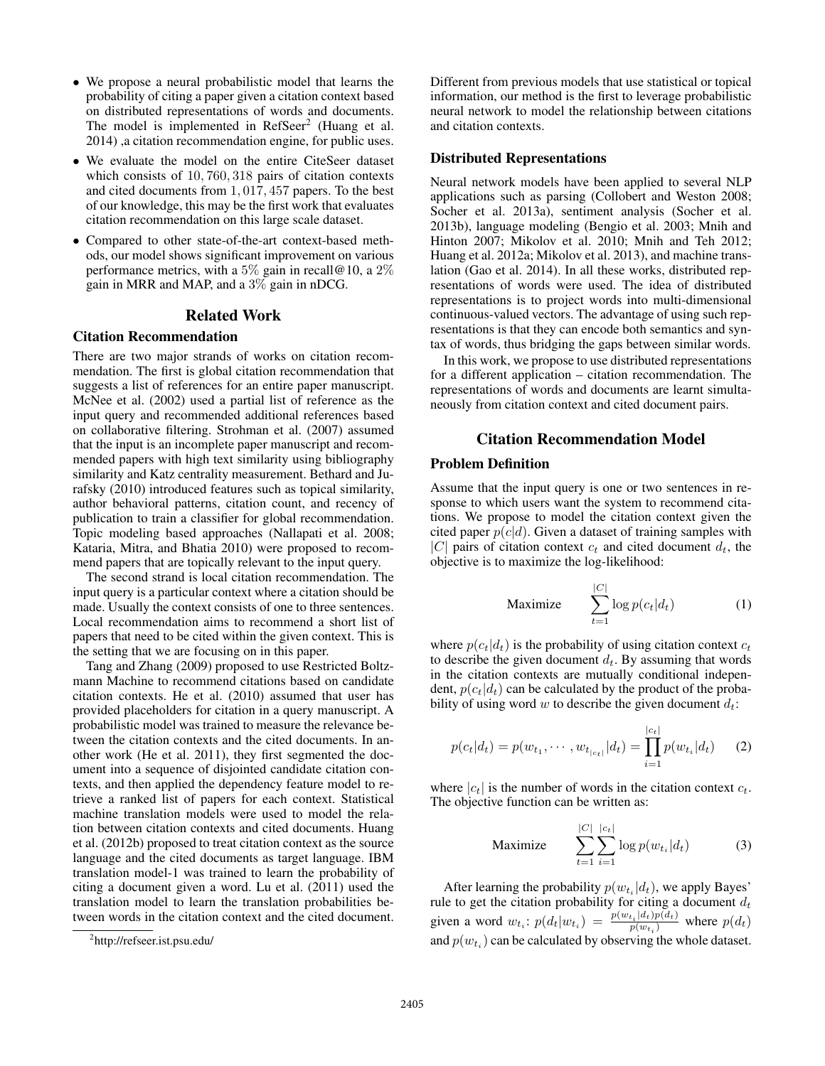- We propose a neural probabilistic model that learns the probability of citing a paper given a citation context based on distributed representations of words and documents. The model is implemented in RefSeer<sup>2</sup> (Huang et al. 2014) ,a citation recommendation engine, for public uses.
- We evaluate the model on the entire CiteSeer dataset which consists of 10, 760, 318 pairs of citation contexts and cited documents from 1, 017, 457 papers. To the best of our knowledge, this may be the first work that evaluates citation recommendation on this large scale dataset.
- Compared to other state-of-the-art context-based methods, our model shows significant improvement on various performance metrics, with a 5% gain in recall@10, a 2% gain in MRR and MAP, and a 3% gain in nDCG.

### Related Work

## Citation Recommendation

There are two major strands of works on citation recommendation. The first is global citation recommendation that suggests a list of references for an entire paper manuscript. McNee et al. (2002) used a partial list of reference as the input query and recommended additional references based on collaborative filtering. Strohman et al. (2007) assumed that the input is an incomplete paper manuscript and recommended papers with high text similarity using bibliography similarity and Katz centrality measurement. Bethard and Jurafsky (2010) introduced features such as topical similarity, author behavioral patterns, citation count, and recency of publication to train a classifier for global recommendation. Topic modeling based approaches (Nallapati et al. 2008; Kataria, Mitra, and Bhatia 2010) were proposed to recommend papers that are topically relevant to the input query.

The second strand is local citation recommendation. The input query is a particular context where a citation should be made. Usually the context consists of one to three sentences. Local recommendation aims to recommend a short list of papers that need to be cited within the given context. This is the setting that we are focusing on in this paper.

Tang and Zhang (2009) proposed to use Restricted Boltzmann Machine to recommend citations based on candidate citation contexts. He et al. (2010) assumed that user has provided placeholders for citation in a query manuscript. A probabilistic model was trained to measure the relevance between the citation contexts and the cited documents. In another work (He et al. 2011), they first segmented the document into a sequence of disjointed candidate citation contexts, and then applied the dependency feature model to retrieve a ranked list of papers for each context. Statistical machine translation models were used to model the relation between citation contexts and cited documents. Huang et al. (2012b) proposed to treat citation context as the source language and the cited documents as target language. IBM translation model-1 was trained to learn the probability of citing a document given a word. Lu et al. (2011) used the translation model to learn the translation probabilities between words in the citation context and the cited document.

Different from previous models that use statistical or topical information, our method is the first to leverage probabilistic neural network to model the relationship between citations and citation contexts.

### Distributed Representations

Neural network models have been applied to several NLP applications such as parsing (Collobert and Weston 2008; Socher et al. 2013a), sentiment analysis (Socher et al. 2013b), language modeling (Bengio et al. 2003; Mnih and Hinton 2007; Mikolov et al. 2010; Mnih and Teh 2012; Huang et al. 2012a; Mikolov et al. 2013), and machine translation (Gao et al. 2014). In all these works, distributed representations of words were used. The idea of distributed representations is to project words into multi-dimensional continuous-valued vectors. The advantage of using such representations is that they can encode both semantics and syntax of words, thus bridging the gaps between similar words.

In this work, we propose to use distributed representations for a different application – citation recommendation. The representations of words and documents are learnt simultaneously from citation context and cited document pairs.

## Citation Recommendation Model

### Problem Definition

Assume that the input query is one or two sentences in response to which users want the system to recommend citations. We propose to model the citation context given the cited paper  $p(c|d)$ . Given a dataset of training samples with |C| pairs of citation context  $c_t$  and cited document  $d_t$ , the objective is to maximize the log-likelihood:

$$
\text{Maximize} \qquad \sum_{t=1}^{|C|} \log p(c_t|d_t) \tag{1}
$$

where  $p(c_t|d_t)$  is the probability of using citation context  $c_t$ to describe the given document  $d_t$ . By assuming that words in the citation contexts are mutually conditional independent,  $p(c_t|d_t)$  can be calculated by the product of the probability of using word w to describe the given document  $d_t$ :

$$
p(c_t|d_t) = p(w_{t_1}, \cdots, w_{t_{|c_t|}}|d_t) = \prod_{i=1}^{|c_t|} p(w_{t_i}|d_t)
$$
 (2)

where  $|c_t|$  is the number of words in the citation context  $c_t$ . The objective function can be written as:

$$
\text{Maximize} \qquad \sum_{t=1}^{|C|} \sum_{i=1}^{|c_t|} \log p(w_{t_i}|d_t) \tag{3}
$$

After learning the probability  $p(w_{t_i}|d_t)$ , we apply Bayes' rule to get the citation probability for citing a document  $d_t$ given a word  $w_{t_i}$ :  $p(d_t|w_{t_i}) = \frac{p(w_{t_i}|d_t)p(d_t)}{p(w_{t_i})}$  $\frac{p(u_t)p(u_t)}{p(w_{t_i})}$  where  $p(d_t)$ and  $p(w_{t_i})$  can be calculated by observing the whole dataset.

<sup>&</sup>lt;sup>2</sup>http://refseer.ist.psu.edu/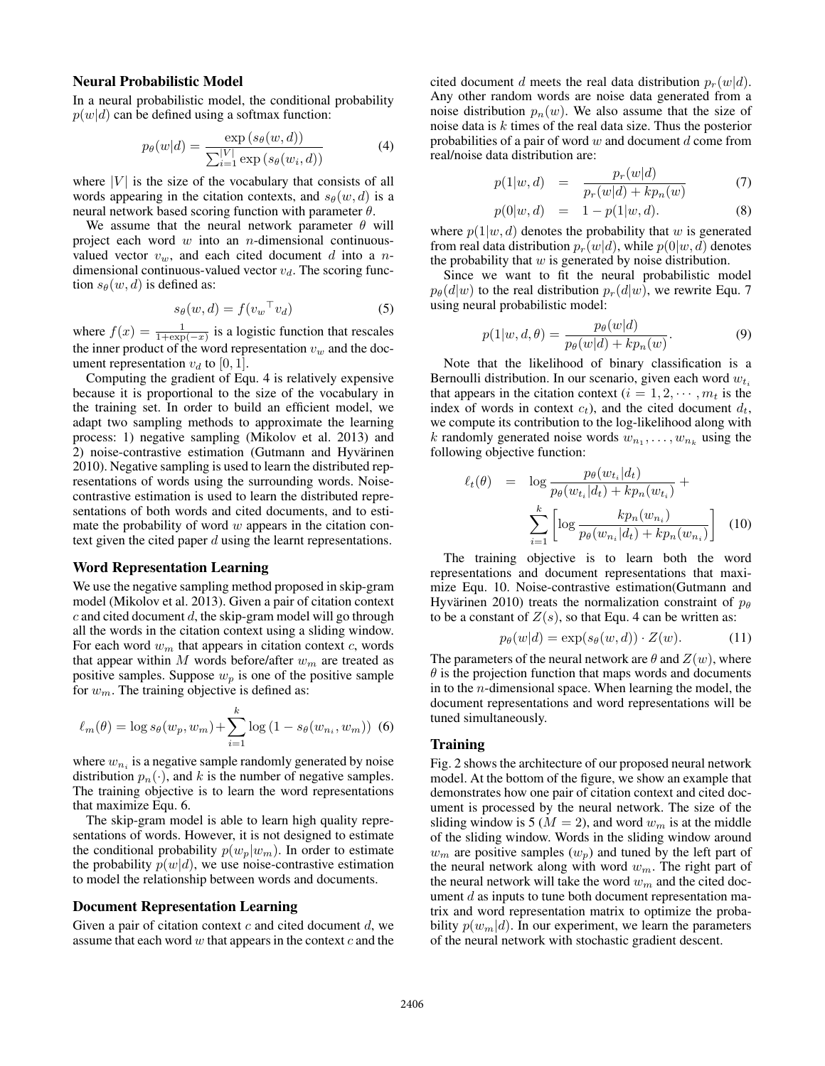#### Neural Probabilistic Model

In a neural probabilistic model, the conditional probability  $p(w|d)$  can be defined using a softmax function:

$$
p_{\theta}(w|d) = \frac{\exp(s_{\theta}(w,d))}{\sum_{i=1}^{|V|} \exp(s_{\theta}(w_i,d))}
$$
(4)

where  $|V|$  is the size of the vocabulary that consists of all words appearing in the citation contexts, and  $s_{\theta}(w, d)$  is a neural network based scoring function with parameter  $\theta$ .

We assume that the neural network parameter  $\theta$  will project each word  $w$  into an *n*-dimensional continuousvalued vector  $v_w$ , and each cited document d into a ndimensional continuous-valued vector  $v_d$ . The scoring function  $s_{\theta}(w, d)$  is defined as:

$$
s_{\theta}(w, d) = f(v_w^{\top} v_d) \tag{5}
$$

where  $f(x) = \frac{1}{1 + \exp(-x)}$  is a logistic function that rescales the inner product of the word representation  $v_w$  and the document representation  $v_d$  to [0, 1].

Computing the gradient of Equ. 4 is relatively expensive because it is proportional to the size of the vocabulary in the training set. In order to build an efficient model, we adapt two sampling methods to approximate the learning process: 1) negative sampling (Mikolov et al. 2013) and 2) noise-contrastive estimation (Gutmann and Hyvärinen 2010). Negative sampling is used to learn the distributed representations of words using the surrounding words. Noisecontrastive estimation is used to learn the distributed representations of both words and cited documents, and to estimate the probability of word  $w$  appears in the citation context given the cited paper  $d$  using the learnt representations.

#### Word Representation Learning

We use the negative sampling method proposed in skip-gram model (Mikolov et al. 2013). Given a pair of citation context  $c$  and cited document  $d$ , the skip-gram model will go through all the words in the citation context using a sliding window. For each word  $w_m$  that appears in citation context c, words that appear within  $M$  words before/after  $w_m$  are treated as positive samples. Suppose  $w_p$  is one of the positive sample for  $w_m$ . The training objective is defined as:

$$
\ell_m(\theta) = \log s_{\theta}(w_p, w_m) + \sum_{i=1}^{k} \log (1 - s_{\theta}(w_{n_i}, w_m))
$$
 (6)

where  $w_{n_i}$  is a negative sample randomly generated by noise distribution  $p_n(\cdot)$ , and k is the number of negative samples. The training objective is to learn the word representations that maximize Equ. 6.

The skip-gram model is able to learn high quality representations of words. However, it is not designed to estimate the conditional probability  $p(w_p|w_m)$ . In order to estimate the probability  $p(w|d)$ , we use noise-contrastive estimation to model the relationship between words and documents.

#### Document Representation Learning

Given a pair of citation context  $c$  and cited document  $d$ , we assume that each word  $w$  that appears in the context  $c$  and the

cited document d meets the real data distribution  $p_r(w|d)$ . Any other random words are noise data generated from a noise distribution  $p_n(w)$ . We also assume that the size of noise data is k times of the real data size. Thus the posterior probabilities of a pair of word  $w$  and document  $d$  come from real/noise data distribution are:

$$
p(1|w, d) = \frac{p_r(w|d)}{p_r(w|d) + kp_n(w)} \tag{7}
$$

$$
p(0|w, d) = 1 - p(1|w, d). \tag{8}
$$

where  $p(1|w, d)$  denotes the probability that w is generated from real data distribution  $p_r(w|d)$ , while  $p(0|w, d)$  denotes the probability that  $w$  is generated by noise distribution.

Since we want to fit the neural probabilistic model  $p_{\theta}(d|w)$  to the real distribution  $p_r(d|w)$ , we rewrite Equ. 7 using neural probabilistic model:

$$
p(1|w, d, \theta) = \frac{p_{\theta}(w|d)}{p_{\theta}(w|d) + kp_n(w)}.\tag{9}
$$

Note that the likelihood of binary classification is a Bernoulli distribution. In our scenario, given each word  $w_{t_i}$ that appears in the citation context  $(i = 1, 2, \dots, m_t$  is the index of words in context  $c_t$ ), and the cited document  $d_t$ , we compute its contribution to the log-likelihood along with k randomly generated noise words  $w_{n_1}, \ldots, w_{n_k}$  using the following objective function:

$$
\ell_t(\theta) = \log \frac{p_{\theta}(w_{t_i}|d_t)}{p_{\theta}(w_{t_i}|d_t) + kp_n(w_{t_i})} + \sum_{i=1}^k \left[ \log \frac{kp_n(w_{n_i})}{p_{\theta}(w_{n_i}|d_t) + kp_n(w_{n_i})} \right] \tag{10}
$$

The training objective is to learn both the word representations and document representations that maximize Equ. 10. Noise-contrastive estimation(Gutmann and Hyvärinen 2010) treats the normalization constraint of  $p_{\theta}$ to be a constant of  $Z(s)$ , so that Equ. 4 can be written as:

$$
p_{\theta}(w|d) = \exp(s_{\theta}(w,d)) \cdot Z(w). \tag{11}
$$

The parameters of the neural network are  $\theta$  and  $Z(w)$ , where  $\theta$  is the projection function that maps words and documents in to the n-dimensional space. When learning the model, the document representations and word representations will be tuned simultaneously.

### Training

Fig. 2 shows the architecture of our proposed neural network model. At the bottom of the figure, we show an example that demonstrates how one pair of citation context and cited document is processed by the neural network. The size of the sliding window is 5 ( $M = 2$ ), and word  $w_m$  is at the middle of the sliding window. Words in the sliding window around  $w_m$  are positive samples  $(w_p)$  and tuned by the left part of the neural network along with word  $w_m$ . The right part of the neural network will take the word  $w_m$  and the cited document  $d$  as inputs to tune both document representation matrix and word representation matrix to optimize the probability  $p(w_m|d)$ . In our experiment, we learn the parameters of the neural network with stochastic gradient descent.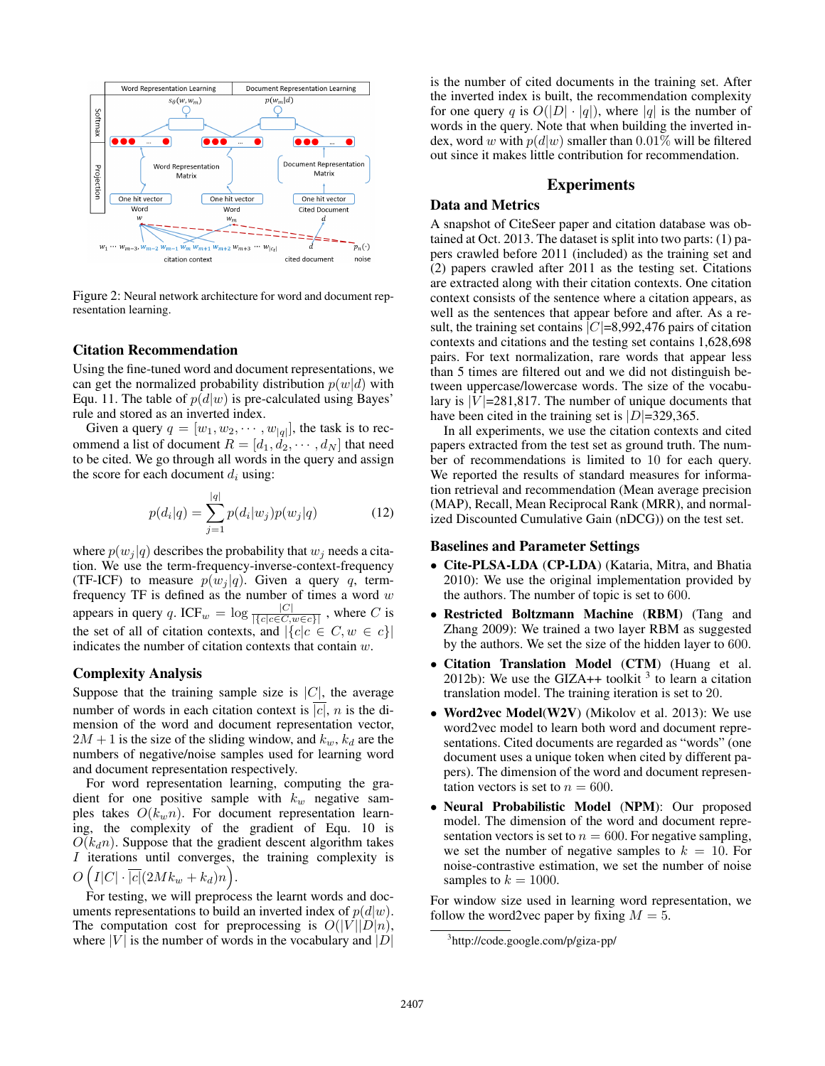

Figure 2: Neural network architecture for word and document representation learning.

#### Citation Recommendation

Using the fine-tuned word and document representations, we can get the normalized probability distribution  $p(w|d)$  with Equ. 11. The table of  $p(d|w)$  is pre-calculated using Bayes' rule and stored as an inverted index.

Given a query  $q = [w_1, w_2, \dots, w_{|q|}]$ , the task is to recommend a list of document  $R = [d_1, d_2, \cdots, d_N]$  that need to be cited. We go through all words in the query and assign the score for each document  $d_i$  using:

$$
p(d_i|q) = \sum_{j=1}^{|q|} p(d_i|w_j)p(w_j|q)
$$
 (12)

where  $p(w_i | q)$  describes the probability that  $w_i$  needs a citation. We use the term-frequency-inverse-context-frequency (TF-ICF) to measure  $p(w_i | q)$ . Given a query q, termfrequency TF is defined as the number of times a word  $w$ appears in query q. ICF<sub>w</sub> =  $\log \frac{|C|}{|\{c| c \in C, w \in c\}|}$ , where C is the set of all of citation contexts, and  $|\{c|c \in C, w \in c\}|$ indicates the number of citation contexts that contain  $w$ .

#### Complexity Analysis

Suppose that the training sample size is  $|C|$ , the average number of words in each citation context is  $|c|$ , *n* is the dimension of the word and document representation vector,  $2M + 1$  is the size of the sliding window, and  $k_w$ ,  $k_d$  are the numbers of negative/noise samples used for learning word and document representation respectively.

For word representation learning, computing the gradient for one positive sample with  $k_w$  negative samples takes  $O(k_w n)$ . For document representation learning, the complexity of the gradient of Equ. 10 is  $O(k<sub>d</sub>n)$ . Suppose that the gradient descent algorithm takes I iterations until converges, the training complexity is  $O\left(I|C|\cdot \overline{|c|}(2Mk_w+k_d)n\right).$ 

For testing, we will preprocess the learnt words and documents representations to build an inverted index of  $p(d|w)$ . The computation cost for preprocessing is  $O(|V||D|n)$ , where  $|V|$  is the number of words in the vocabulary and  $|D|$  is the number of cited documents in the training set. After the inverted index is built, the recommendation complexity for one query q is  $O(|D| \cdot |q|)$ , where |q| is the number of words in the query. Note that when building the inverted index, word w with  $p(d|w)$  smaller than 0.01% will be filtered out since it makes little contribution for recommendation.

#### Experiments

### Data and Metrics

A snapshot of CiteSeer paper and citation database was obtained at Oct. 2013. The dataset is split into two parts: (1) papers crawled before 2011 (included) as the training set and (2) papers crawled after 2011 as the testing set. Citations are extracted along with their citation contexts. One citation context consists of the sentence where a citation appears, as well as the sentences that appear before and after. As a result, the training set contains  $|C|=8,992,476$  pairs of citation contexts and citations and the testing set contains 1,628,698 pairs. For text normalization, rare words that appear less than 5 times are filtered out and we did not distinguish between uppercase/lowercase words. The size of the vocabulary is  $|V|$ =281,817. The number of unique documents that have been cited in the training set is  $|D|=329,365$ .

In all experiments, we use the citation contexts and cited papers extracted from the test set as ground truth. The number of recommendations is limited to 10 for each query. We reported the results of standard measures for information retrieval and recommendation (Mean average precision (MAP), Recall, Mean Reciprocal Rank (MRR), and normalized Discounted Cumulative Gain (nDCG)) on the test set.

#### Baselines and Parameter Settings

- Cite-PLSA-LDA (CP-LDA) (Kataria, Mitra, and Bhatia 2010): We use the original implementation provided by the authors. The number of topic is set to 600.
- Restricted Boltzmann Machine (RBM) (Tang and Zhang 2009): We trained a two layer RBM as suggested by the authors. We set the size of the hidden layer to 600.
- Citation Translation Model (CTM) (Huang et al. 2012b): We use the GIZA++ toolkit  $3$  to learn a citation translation model. The training iteration is set to 20.
- Word2vec Model(W2V) (Mikolov et al. 2013): We use word2vec model to learn both word and document representations. Cited documents are regarded as "words" (one document uses a unique token when cited by different papers). The dimension of the word and document representation vectors is set to  $n = 600$ .
- Neural Probabilistic Model (NPM): Our proposed model. The dimension of the word and document representation vectors is set to  $n = 600$ . For negative sampling, we set the number of negative samples to  $k = 10$ . For noise-contrastive estimation, we set the number of noise samples to  $k = 1000$ .

For window size used in learning word representation, we follow the word2vec paper by fixing  $M = 5$ .

<sup>3</sup> http://code.google.com/p/giza-pp/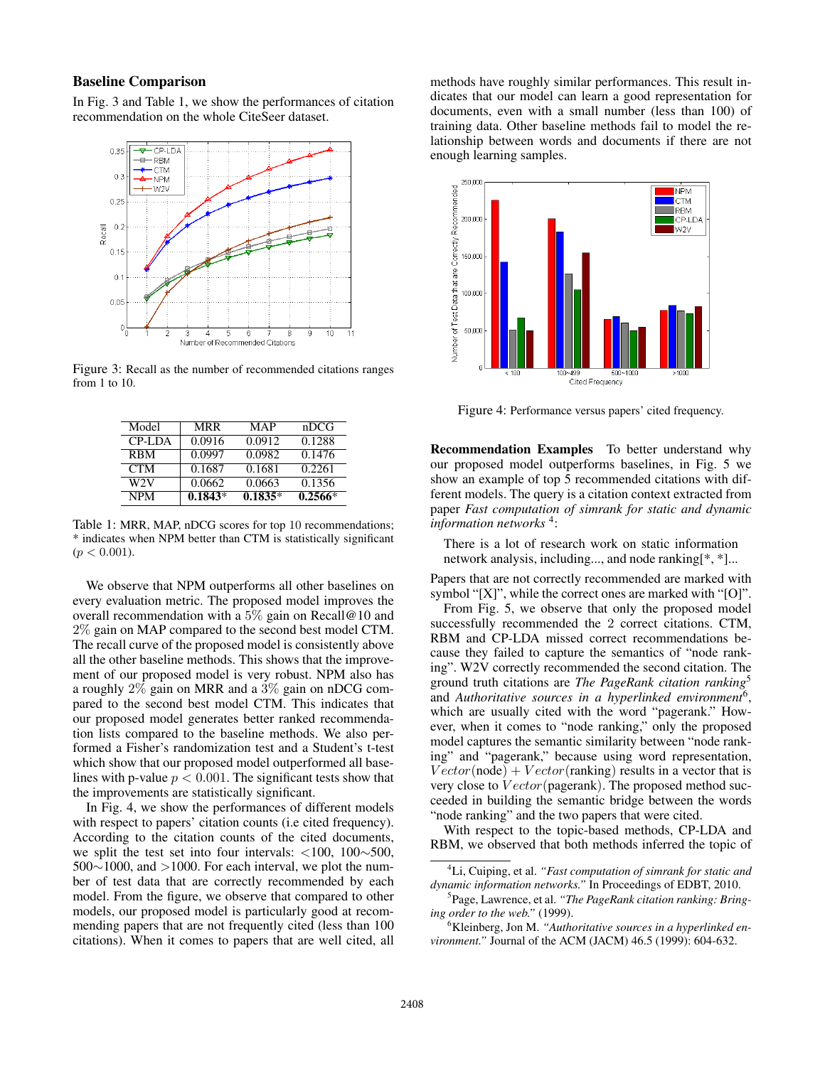## Baseline Comparison

In Fig. 3 and Table 1, we show the performances of citation recommendation on the whole CiteSeer dataset.



Figure 3: Recall as the number of recommended citations ranges from 1 to 10.

| Model      | <b>MRR</b> | MAP       | nDCG      |
|------------|------------|-----------|-----------|
| CP-LDA     | 0.0916     | 0.0912    | 0.1288    |
| <b>RBM</b> | 0.0997     | 0.0982    | 0.1476    |
| <b>CTM</b> | 0.1687     | 0.1681    | 0.2261    |
| W2V        | 0.0662     | 0.0663    | 0.1356    |
| <b>NPM</b> | $0.1843*$  | $0.1835*$ | $0.2566*$ |

Table 1: MRR, MAP, nDCG scores for top 10 recommendations; \* indicates when NPM better than CTM is statistically significant  $(p < 0.001)$ .

We observe that NPM outperforms all other baselines on every evaluation metric. The proposed model improves the overall recommendation with a  $5\%$  gain on Recall@10 and 2% gain on MAP compared to the second best model CTM. The recall curve of the proposed model is consistently above all the other baseline methods. This shows that the improvement of our proposed model is very robust. NPM also has a roughly 2% gain on MRR and a 3% gain on nDCG compared to the second best model CTM. This indicates that our proposed model generates better ranked recommendation lists compared to the baseline methods. We also performed a Fisher's randomization test and a Student's t-test which show that our proposed model outperformed all baselines with p-value  $p < 0.001$ . The significant tests show that the improvements are statistically significant.

In Fig. 4, we show the performances of different models with respect to papers' citation counts (i.e cited frequency). According to the citation counts of the cited documents, we split the test set into four intervals: <100, 100∼500,  $500~1000$ , and  $>1000$ . For each interval, we plot the number of test data that are correctly recommended by each model. From the figure, we observe that compared to other models, our proposed model is particularly good at recommending papers that are not frequently cited (less than 100 citations). When it comes to papers that are well cited, all

methods have roughly similar performances. This result indicates that our model can learn a good representation for documents, even with a small number (less than 100) of training data. Other baseline methods fail to model the relationship between words and documents if there are not enough learning samples.



Figure 4: Performance versus papers' cited frequency.

Recommendation Examples To better understand why our proposed model outperforms baselines, in Fig. 5 we show an example of top 5 recommended citations with different models. The query is a citation context extracted from paper *Fast computation of simrank for static and dynamic information networks* <sup>4</sup> :

There is a lot of research work on static information network analysis, including..., and node ranking[\*, \*]...

Papers that are not correctly recommended are marked with symbol "[X]", while the correct ones are marked with "[O]".

From Fig. 5, we observe that only the proposed model successfully recommended the 2 correct citations. CTM, RBM and CP-LDA missed correct recommendations because they failed to capture the semantics of "node ranking". W2V correctly recommended the second citation. The ground truth citations are *The PageRank citation ranking*<sup>5</sup> and *Authoritative sources in a hyperlinked environment*<sup>6</sup> , which are usually cited with the word "pagerank." However, when it comes to "node ranking," only the proposed model captures the semantic similarity between "node ranking" and "pagerank," because using word representation,  $Vector(node) + Vector(range)$  results in a vector that is very close to  $Vector(pagerank)$ . The proposed method succeeded in building the semantic bridge between the words "node ranking" and the two papers that were cited.

With respect to the topic-based methods, CP-LDA and RBM, we observed that both methods inferred the topic of

<sup>4</sup>Li, Cuiping, et al. *"Fast computation of simrank for static and dynamic information networks."* In Proceedings of EDBT, 2010.

<sup>5</sup> Page, Lawrence, et al. *"The PageRank citation ranking: Bringing order to the web."* (1999).

<sup>6</sup>Kleinberg, Jon M. *"Authoritative sources in a hyperlinked environment."* Journal of the ACM (JACM) 46.5 (1999): 604-632.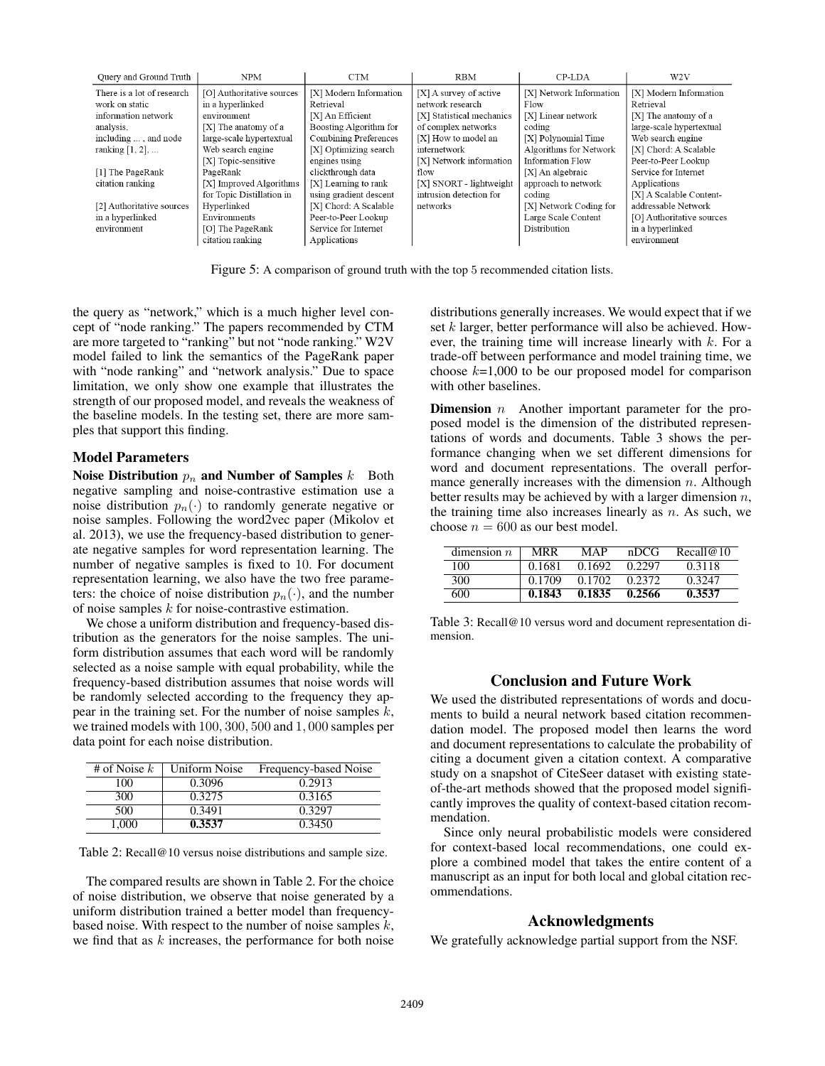| Query and Ground Truth     | <b>NPM</b>                | <b>CTM</b>             | <b>RBM</b>                | CP-LDA                  | W <sub>2</sub> V          |
|----------------------------|---------------------------|------------------------|---------------------------|-------------------------|---------------------------|
| There is a lot of research | [O] Authoritative sources | [X] Modern Information | [X] A survey of active    | [X] Network Information | [X] Modern Information    |
| work on static             | in a hyperlinked          | Retrieval              | network research          | Flow                    | Retrieval                 |
| information network        | environment               | [X] An Efficient       | [X] Statistical mechanics | [X] Linear network      | [X] The anatomy of a      |
| analysis.                  | [X] The anatomy of a      | Boosting Algorithm for | of complex networks       | coding                  | large-scale hypertextual  |
| including , and node       | large-scale hypertextual  | Combining Preferences  | [X] How to model an       | [X] Polynomial Time     | Web search engine         |
| ranking $[1, 2]$ ,         | Web search engine         | [X] Optimizing search  | internetwork              | Algorithms for Network  | [X] Chord: A Scalable     |
|                            | [X] Topic-sensitive       | engines using          | [X] Network information   | Information Flow        | Peer-to-Peer Lookup       |
| [1] The PageRank           | PageRank                  | clickthrough data      | flow                      | [X] An algebraic        | Service for Internet      |
| citation ranking           | [X] Improved Algorithms   | [X] Learning to rank   | [X] SNORT - lightweight   | approach to network     | Applications              |
|                            | for Topic Distillation in | using gradient descent | intrusion detection for   | coding                  | [X] A Scalable Content-   |
| [2] Authoritative sources  | Hyperlinked               | [X] Chord: A Scalable  | networks                  | [X] Network Coding for  | addressable Network       |
| in a hyperlinked           | Environments              | Peer-to-Peer Lookup    |                           | Large Scale Content     | [O] Authoritative sources |
| environment                | [O] The PageRank          | Service for Internet   |                           | Distribution            | in a hyperlinked          |
|                            | citation ranking          | Applications           |                           |                         | environment               |

Figure 5: A comparison of ground truth with the top 5 recommended citation lists.

the query as "network," which is a much higher level concept of "node ranking." The papers recommended by CTM are more targeted to "ranking" but not "node ranking." W2V model failed to link the semantics of the PageRank paper with "node ranking" and "network analysis." Due to space limitation, we only show one example that illustrates the strength of our proposed model, and reveals the weakness of the baseline models. In the testing set, there are more samples that support this finding.

#### Model Parameters

Noise Distribution  $p_n$  and Number of Samples  $k$  Both negative sampling and noise-contrastive estimation use a noise distribution  $p_n(\cdot)$  to randomly generate negative or noise samples. Following the word2vec paper (Mikolov et al. 2013), we use the frequency-based distribution to generate negative samples for word representation learning. The number of negative samples is fixed to 10. For document representation learning, we also have the two free parameters: the choice of noise distribution  $p_n(\cdot)$ , and the number of noise samples k for noise-contrastive estimation.

We chose a uniform distribution and frequency-based distribution as the generators for the noise samples. The uniform distribution assumes that each word will be randomly selected as a noise sample with equal probability, while the frequency-based distribution assumes that noise words will be randomly selected according to the frequency they appear in the training set. For the number of noise samples  $k$ , we trained models with 100, 300, 500 and 1, 000 samples per data point for each noise distribution.

| # of Noise $k$ | Uniform Noise | Frequency-based Noise |
|----------------|---------------|-----------------------|
| 100            | 0.3096        | 0.2913                |
| 300            | 0.3275        | 0.3165                |
| 500            | 0.3491        | 0.3297                |
| 1.000          | 0.3537        | 0.3450                |

Table 2: Recall@10 versus noise distributions and sample size.

The compared results are shown in Table 2. For the choice of noise distribution, we observe that noise generated by a uniform distribution trained a better model than frequencybased noise. With respect to the number of noise samples  $k$ , we find that as  $k$  increases, the performance for both noise

distributions generally increases. We would expect that if we set  $k$  larger, better performance will also be achieved. However, the training time will increase linearly with  $k$ . For a trade-off between performance and model training time, we choose  $k=1,000$  to be our proposed model for comparison with other baselines.

**Dimension**  $n$  Another important parameter for the proposed model is the dimension of the distributed representations of words and documents. Table 3 shows the performance changing when we set different dimensions for word and document representations. The overall performance generally increases with the dimension  $n$ . Although better results may be achieved by with a larger dimension  $n$ , the training time also increases linearly as  $n$ . As such, we choose  $n = 600$  as our best model.

| dimension $n$ | <b>MRR</b> | MAP    | nDCG   | Recall@10 |
|---------------|------------|--------|--------|-----------|
| 100           | 0.1681     | 0.1692 | 0.2297 | 0.3118    |
| 300           | 0.1709     | 0.1702 | 0.2372 | 0.3247    |
| 600           | 0.1843     | 0.1835 | 0.2566 | 0.3537    |

Table 3: Recall@10 versus word and document representation dimension.

## Conclusion and Future Work

We used the distributed representations of words and documents to build a neural network based citation recommendation model. The proposed model then learns the word and document representations to calculate the probability of citing a document given a citation context. A comparative study on a snapshot of CiteSeer dataset with existing stateof-the-art methods showed that the proposed model significantly improves the quality of context-based citation recommendation.

Since only neural probabilistic models were considered for context-based local recommendations, one could explore a combined model that takes the entire content of a manuscript as an input for both local and global citation recommendations.

## Acknowledgments

We gratefully acknowledge partial support from the NSF.